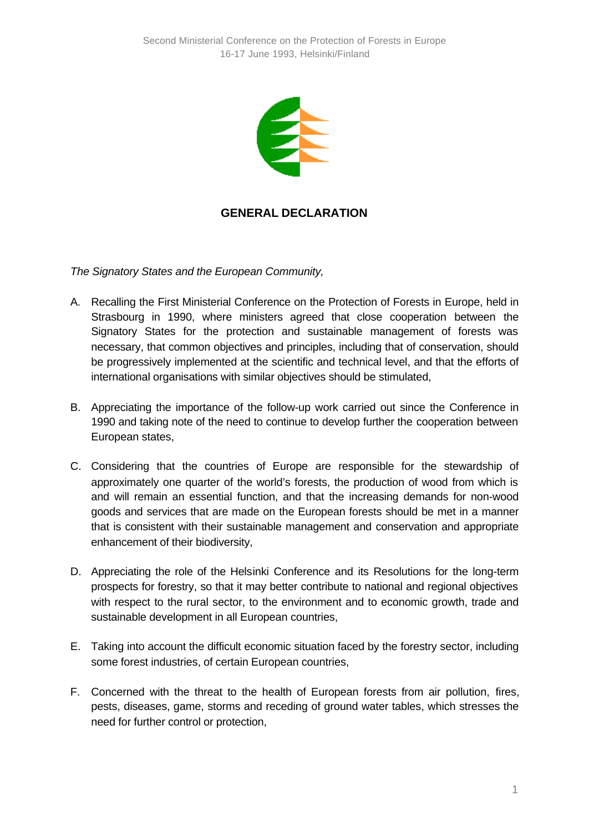

## **GENERAL DECLARATION**

*The Signatory States and the European Community,*

- A. Recalling the First Ministerial Conference on the Protection of Forests in Europe, held in Strasbourg in 1990, where ministers agreed that close cooperation between the Signatory States for the protection and sustainable management of forests was necessary, that common objectives and principles, including that of conservation, should be progressively implemented at the scientific and technical level, and that the efforts of international organisations with similar objectives should be stimulated,
- B. Appreciating the importance of the follow-up work carried out since the Conference in 1990 and taking note of the need to continue to develop further the cooperation between European states,
- C. Considering that the countries of Europe are responsible for the stewardship of approximately one quarter of the world's forests, the production of wood from which is and will remain an essential function, and that the increasing demands for non-wood goods and services that are made on the European forests should be met in a manner that is consistent with their sustainable management and conservation and appropriate enhancement of their biodiversity,
- D. Appreciating the role of the Helsinki Conference and its Resolutions for the long-term prospects for forestry, so that it may better contribute to national and regional objectives with respect to the rural sector, to the environment and to economic growth, trade and sustainable development in all European countries,
- E. Taking into account the difficult economic situation faced by the forestry sector, including some forest industries, of certain European countries,
- F. Concerned with the threat to the health of European forests from air pollution, fires, pests, diseases, game, storms and receding of ground water tables, which stresses the need for further control or protection,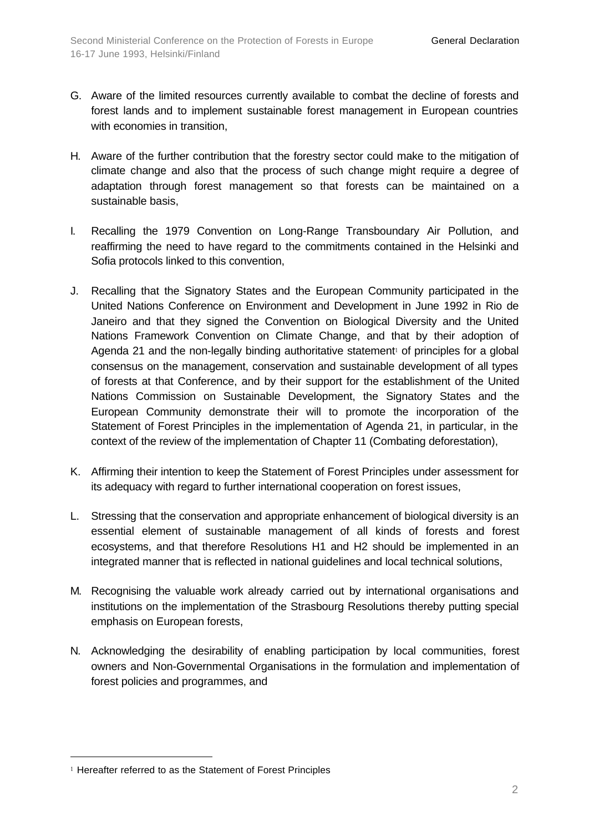- G. Aware of the limited resources currently available to combat the decline of forests and forest lands and to implement sustainable forest management in European countries with economies in transition,
- H. Aware of the further contribution that the forestry sector could make to the mitigation of climate change and also that the process of such change might require a degree of adaptation through forest management so that forests can be maintained on a sustainable basis,
- I. Recalling the 1979 Convention on Long-Range Transboundary Air Pollution, and reaffirming the need to have regard to the commitments contained in the Helsinki and Sofia protocols linked to this convention,
- J. Recalling that the Signatory States and the European Community participated in the United Nations Conference on Environment and Development in June 1992 in Rio de Janeiro and that they signed the Convention on Biological Diversity and the United Nations Framework Convention on Climate Change, and that by their adoption of Agenda 21 and the non-legally binding authoritative statement<sup>1</sup> of principles for a global consensus on the management, conservation and sustainable development of all types of forests at that Conference, and by their support for the establishment of the United Nations Commission on Sustainable Development, the Signatory States and the European Community demonstrate their will to promote the incorporation of the Statement of Forest Principles in the implementation of Agenda 21, in particular, in the context of the review of the implementation of Chapter 11 (Combating deforestation),
- K. Affirming their intention to keep the Statement of Forest Principles under assessment for its adequacy with regard to further international cooperation on forest issues,
- L. Stressing that the conservation and appropriate enhancement of biological diversity is an essential element of sustainable management of all kinds of forests and forest ecosystems, and that therefore Resolutions H1 and H2 should be implemented in an integrated manner that is reflected in national guidelines and local technical solutions,
- M. Recognising the valuable work already carried out by international organisations and institutions on the implementation of the Strasbourg Resolutions thereby putting special emphasis on European forests,
- N. Acknowledging the desirability of enabling participation by local communities, forest owners and Non-Governmental Organisations in the formulation and implementation of forest policies and programmes, and

l

<sup>1</sup> Hereafter referred to as the Statement of Forest Principles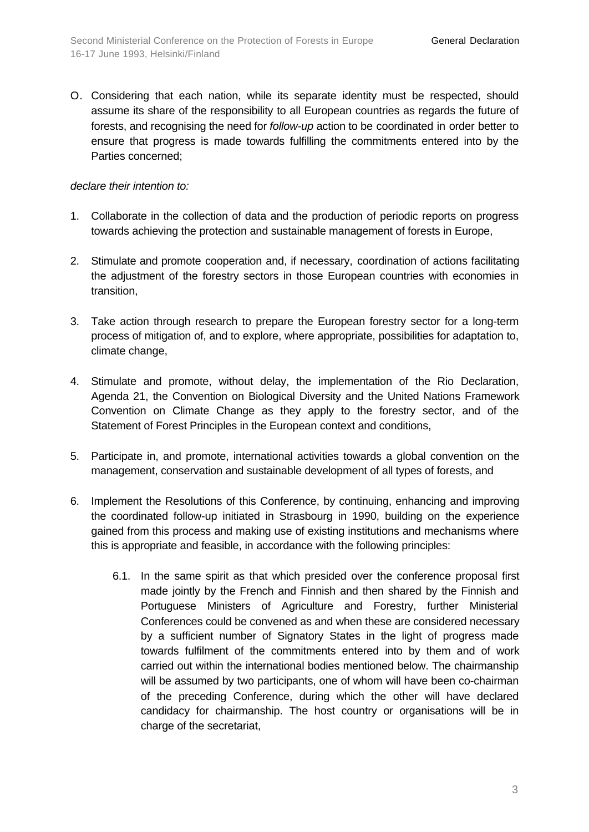O. Considering that each nation, while its separate identity must be respected, should assume its share of the responsibility to all European countries as regards the future of forests, and recognising the need for *follow-up* action to be coordinated in order better to ensure that progress is made towards fulfilling the commitments entered into by the Parties concerned;

## *declare their intention to:*

- 1. Collaborate in the collection of data and the production of periodic reports on progress towards achieving the protection and sustainable management of forests in Europe,
- 2. Stimulate and promote cooperation and, if necessary, coordination of actions facilitating the adjustment of the forestry sectors in those European countries with economies in transition,
- 3. Take action through research to prepare the European forestry sector for a long-term process of mitigation of, and to explore, where appropriate, possibilities for adaptation to, climate change,
- 4. Stimulate and promote, without delay, the implementation of the Rio Declaration, Agenda 21, the Convention on Biological Diversity and the United Nations Framework Convention on Climate Change as they apply to the forestry sector, and of the Statement of Forest Principles in the European context and conditions,
- 5. Participate in, and promote, international activities towards a global convention on the management, conservation and sustainable development of all types of forests, and
- 6. Implement the Resolutions of this Conference, by continuing, enhancing and improving the coordinated follow-up initiated in Strasbourg in 1990, building on the experience gained from this process and making use of existing institutions and mechanisms where this is appropriate and feasible, in accordance with the following principles:
	- 6.1. In the same spirit as that which presided over the conference proposal first made jointly by the French and Finnish and then shared by the Finnish and Portuguese Ministers of Agriculture and Forestry, further Ministerial Conferences could be convened as and when these are considered necessary by a sufficient number of Signatory States in the light of progress made towards fulfilment of the commitments entered into by them and of work carried out within the international bodies mentioned below. The chairmanship will be assumed by two participants, one of whom will have been co-chairman of the preceding Conference, during which the other will have declared candidacy for chairmanship. The host country or organisations will be in charge of the secretariat,